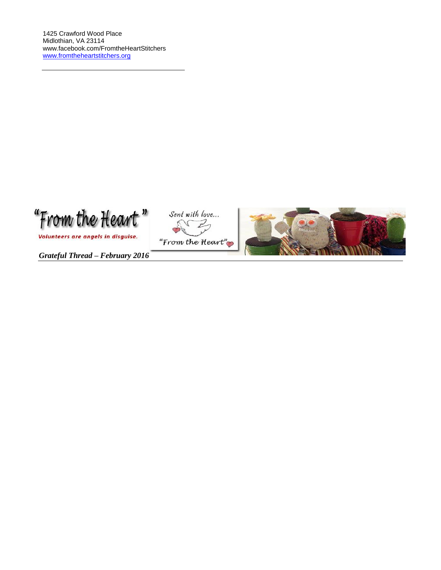

Volunteers are angels in disguise.

Sent with love... "From the Heart"



*Grateful Thread – February 2016*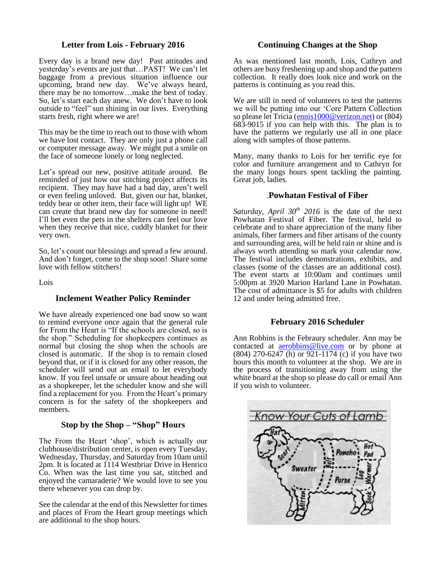## **Letter from Lois - February 2016**

Every day is a brand new day! Past attitudes and yesterday's events are just that…PAST! We can't let baggage from a previous situation influence our upcoming, brand new day. We've always heard, there may be no tomorrow…make the best of today. So, let's start each day anew. We don't have to look outside to "feel" sun shining in our lives. Everything starts fresh, right where we are!

This may be the time to reach out to those with whom we have lost contact. They are only just a phone call or computer message away. We might put a smile on the face of someone lonely or long neglected.

Let's spread our new, positive attitude around. Be reminded of just how our stitching project affects its recipient. They may have had a bad day, aren't well or even feeling unloved. But, given our hat, blanket, teddy bear or other item, their face will light up! WE can create that brand new day for someone in need! I'll bet even the pets in the shelters can feel our love when they receive that nice, cuddly blanket for their very own.

So, let's count our blessings and spread a few around. And don't forget, come to the shop soon! Share some love with fellow stitchers!

Lois

## **Inclement Weather Policy Reminder**

We have already experienced one bad snow so want to remind everyone once again that the general rule for From the Heart is "If the schools are closed, so is the shop." Scheduling for shopkeepers continues as normal but closing the shop when the schools are closed is automatic. If the shop is to remain closed beyond that, or if it is closed for any other reason, the scheduler will send out an email to let everybody know. If you feel unsafe or unsure about heading out as a shopkeeper, let the scheduler know and she will find a replacement for you. From the Heart's primary concern is for the safety of the shopkeepers and members.

## **Stop by the Shop – "Shop" Hours**

The From the Heart 'shop', which is actually our clubhouse/distribution center, is open every Tuesday, Wednesday, Thursday, and Saturday from 10am until 2pm. It is located at 1114 Westbriar Drive in Henrico Co. When was the last time you sat, stitched and enjoyed the camaraderie? We would love to see you there whenever you can drop by.

See the calendar at the end of this Newsletter for times and places of From the Heart group meetings which are additional to the shop hours.

#### **Continuing Changes at the Shop**

As was mentioned last month, Lois, Cathryn and others are busy freshening up and shop and the pattern collection. It really does look nice and work on the patterns is continuing as you read this.

We are still in need of volunteers to test the patterns we will be putting into our 'Core Pattern Collection so please let Tricia [\(ennis1000@verizon.net\)](mailto:ennis1000@verizon.net) or (804) 683-9015 if you can help with this. The plan is to have the patterns we regularly use all in one place along with samples of those patterns.

Many, many thanks to Lois for her terrific eye for color and furniture arrangement and to Cathryn for the many longs hours spent tackling the painting. Great job, ladies.

#### .**Powhatan Festival of Fiber**

*Saturday, April 30th 2016* is the date of the next Powhatan Festival of Fiber. The festival, held to celebrate and to share appreciation of the many fiber animals, fiber farmers and fiber artisans of the county and surrounding area, will be held rain or shine and is always worth attending so mark your calendar now. The festival includes demonstrations, exhibits, and classes (some of the classes are an additional cost). The event starts at 10:00am and continues until 5:00pm at 3920 Marion Harland Lane in Powhatan. The cost of admittance is \$5 for adults with children 12 and under being admitted free.

#### **February 2016 Scheduler**

Ann Robbins is the Febraury scheduler. Ann may be contacted at **[aerobbins@live.com](mailto:aerobbins@live.com)** or by phone at (804) 270-6247 (h) or 921-1174 (c) if you have two hours this month to volunteer at the shop. We are in the process of transitioning away from using the white board at the shop so please do call or email Ann if you wish to volunteer.

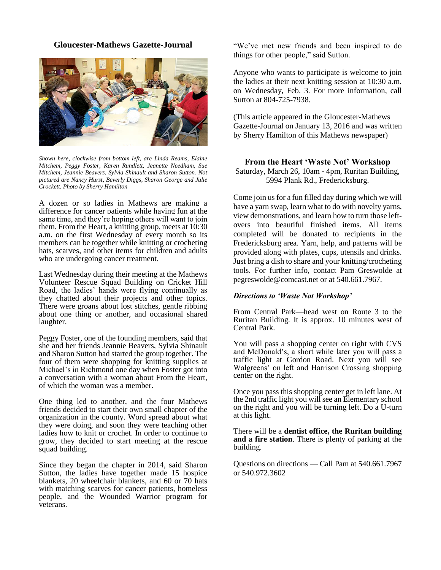## **Gloucester-Mathews Gazette-Journal**



*Shown here, clockwise from bottom left, are Linda Reams, Elaine Mitchem, Peggy Foster, Karen Rundlett, Jeanette Needham, Sue Mitchem, Jeannie Beavers, Sylvia Shinault and Sharon Sutton. Not pictured are Nancy Hurst, Beverly Diggs, Sharon George and Julie Crockett. Photo by Sherry Hamilton*

A dozen or so ladies in Mathews are making a difference for cancer patients while having fun at the same time, and they're hoping others will want to join them. From the Heart, a knitting group, meets at 10:30 a.m. on the first Wednesday of every month so its members can be together while knitting or crocheting hats, scarves, and other items for children and adults who are undergoing cancer treatment.

Last Wednesday during their meeting at the Mathews Volunteer Rescue Squad Building on Cricket Hill Road, the ladies' hands were flying continually as they chatted about their projects and other topics. There were groans about lost stitches, gentle ribbing about one thing or another, and occasional shared laughter.

Peggy Foster, one of the founding members, said that she and her friends Jeannie Beavers, Sylvia Shinault and Sharon Sutton had started the group together. The four of them were shopping for knitting supplies at Michael's in Richmond one day when Foster got into a conversation with a woman about From the Heart, of which the woman was a member.

One thing led to another, and the four Mathews friends decided to start their own small chapter of the organization in the county. Word spread about what they were doing, and soon they were teaching other ladies how to knit or crochet. In order to continue to grow, they decided to start meeting at the rescue squad building.

Since they began the chapter in 2014, said Sharon Sutton, the ladies have together made 15 hospice blankets, 20 wheelchair blankets, and 60 or 70 hats with matching scarves for cancer patients, homeless people, and the Wounded Warrior program for veterans.

"We've met new friends and been inspired to do things for other people," said Sutton.

Anyone who wants to participate is welcome to join the ladies at their next knitting session at 10:30 a.m. on Wednesday, Feb. 3. For more information, call Sutton at 804-725-7938.

(This article appeared in the Gloucester-Mathews Gazette-Journal on January 13, 2016 and was written by Sherry Hamilton of this Mathews newspaper)

## **From the Heart 'Waste Not' Workshop**

Saturday, March 26, 10am - 4pm, Ruritan Building, 5994 Plank Rd., Fredericksburg.

Come join us for a fun filled day during which we will have a yarn swap, learn what to do with novelty yarns, view demonstrations, and learn how to turn those leftovers into beautiful finished items. All items completed will be donated to recipients in the Fredericksburg area. Yarn, help, and patterns will be provided along with plates, cups, utensils and drinks. Just bring a dish to share and your knitting/crocheting tools. For further info, contact Pam Greswolde at [pegreswolde@comcast.net](mailto:pegreswolde@comcast.net) or at 540.661.7967.

## *Directions to 'Waste Not Workshop'*

From Central Park—head west on Route 3 to the Ruritan Building. It is approx. 10 minutes west of Central Park.

You will pass a shopping center on right with CVS and McDonald's, a short while later you will pass a traffic light at Gordon Road. Next you will see Walgreens' on left and Harrison Crossing shopping center on the right.

Once you pass this shopping center get in left lane. At the 2nd traffic light you will see an Elementary school on the right and you will be turning left. Do a U-turn at this light.

There will be a **dentist office, the Ruritan building and a fire station**. There is plenty of parking at the building.

Questions on directions — Call Pam at 540.661.7967 or 540.972.3602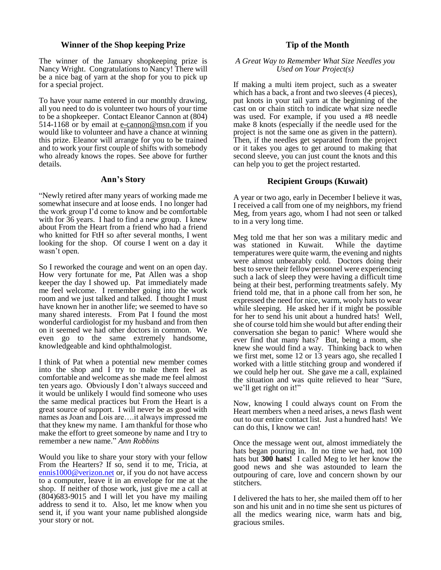## **Winner of the Shop keeping Prize**

The winner of the January shopkeeping prize is Nancy Wright. Congratulations to Nancy! There will be a nice bag of yarn at the shop for you to pick up for a special project.

To have your name entered in our monthly drawing, all you need to do is volunteer two hours of your time to be a shopkeeper. Contact Eleanor Cannon at (804) 514-1168 or by email at [e-cannon@msn.com](mailto:e-cannon@msn.com) if you would like to volunteer and have a chance at winning this prize. Eleanor will arrange for you to be trained and to work your first couple of shifts with somebody who already knows the ropes. See above for further details.

#### **Ann's Story**

"Newly retired after many years of working made me somewhat insecure and at loose ends. I no longer had the work group I'd come to know and be comfortable with for 36 years. I had to find a new group. I knew about From the Heart from a friend who had a friend who knitted for FtH so after several months, I went looking for the shop. Of course I went on a day it wasn't open.

So I reworked the courage and went on an open day. How very fortunate for me, Pat Allen was a shop keeper the day I showed up. Pat immediately made me feel welcome. I remember going into the work room and we just talked and talked. I thought I must have known her in another life; we seemed to have so many shared interests. From Pat I found the most wonderful cardiologist for my husband and from then on it seemed we had other doctors in common. We even go to the same extremely handsome, knowledgeable and kind ophthalmologist.

I think of Pat when a potential new member comes into the shop and I try to make them feel as comfortable and welcome as she made me feel almost ten years ago. Obviously I don't always succeed and it would be unlikely I would find someone who uses the same medical practices but From the Heart is a great source of support. I will never be as good with names as Joan and Lois are….it always impressed me that they knew my name. I am thankful for those who make the effort to greet someone by name and I try to remember a new name." *Ann Robbins*

Would you like to share your story with your fellow From the Hearters? If so, send it to me, Tricia, at [ennis1000@verizon.net](mailto:ennis1000@verizon.net) or, if you do not have access to a computer, leave it in an envelope for me at the shop. If neither of those work, just give me a call at (804)683-9015 and I will let you have my mailing address to send it to. Also, let me know when you send it, if you want your name published alongside your story or not.

## **Tip of the Month**

#### *A Great Way to Remember What Size Needles you Used on Your Project(s)*

If making a multi item project, such as a sweater which has a back, a front and two sleeves (4 pieces), put knots in your tail yarn at the beginning of the cast on or chain stitch to indicate what size needle was used. For example, if you used a #8 needle make 8 knots (especially if the needle used for the project is not the same one as given in the pattern). Then, if the needles get separated from the project or it takes you ages to get around to making that second sleeve, you can just count the knots and this can help you to get the project restarted.

## **Recipient Groups (Kuwait)**

A year or two ago, early in December I believe it was, I received a call from one of my neighbors, my friend Meg, from years ago, whom I had not seen or talked to in a very long time.

Meg told me that her son was a military medic and was stationed in Kuwait. While the daytime was stationed in Kuwait. temperatures were quite warm, the evening and nights were almost unbearably cold. Doctors doing their best to serve their fellow personnel were experiencing such a lack of sleep they were having a difficult time being at their best, performing treatments safely. My friend told me, that in a phone call from her son, he expressed the need for nice, warm, wooly hats to wear while sleeping. He asked her if it might be possible for her to send his unit about a hundred hats! Well, she of course told him she would but after ending their conversation she began to panic! Where would she ever find that many hats? But, being a mom, she knew she would find a way. Thinking back to when we first met, some 12 or 13 years ago, she recalled I worked with a little stitching group and wondered if we could help her out. She gave me a call, explained the situation and was quite relieved to hear "Sure, we'll get right on it!"

Now, knowing I could always count on From the Heart members when a need arises, a news flash went out to our entire contact list. Just a hundred hats! We can do this, I know we can!

Once the message went out, almost immediately the hats began pouring in. In no time we had, not 100 hats but **300 hats!** I called Meg to let her know the good news and she was astounded to learn the outpouring of care, love and concern shown by our stitchers.

I delivered the hats to her, she mailed them off to her son and his unit and in no time she sent us pictures of all the medics wearing nice, warm hats and big, gracious smiles.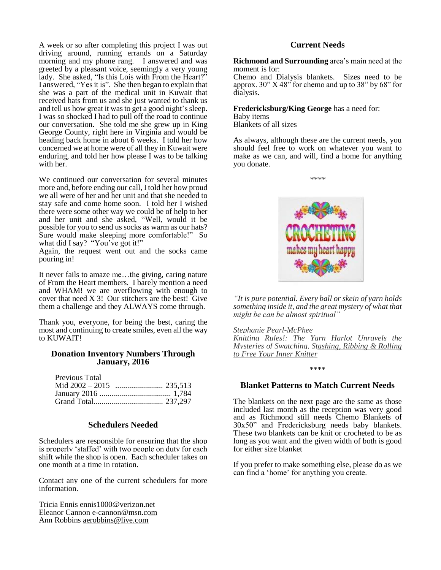A week or so after completing this project I was out driving around, running errands on a Saturday morning and my phone rang. I answered and was greeted by a pleasant voice, seemingly a very young lady. She asked, "Is this Lois with From the Heart?" I answered, "Yes it is". She then began to explain that she was a part of the medical unit in Kuwait that received hats from us and she just wanted to thank us and tell us how great it was to get a good night's sleep. I was so shocked I had to pull off the road to continue our conversation. She told me she grew up in King George County, right here in Virginia and would be heading back home in about 6 weeks. I told her how concerned we at home were of all they in Kuwait were enduring, and told her how please I was to be talking with her.

We continued our conversation for several minutes more and, before ending our call, I told her how proud we all were of her and her unit and that she needed to stay safe and come home soon. I told her I wished there were some other way we could be of help to her and her unit and she asked, "Well, would it be possible for you to send us socks as warm as our hats? Sure would make sleeping more comfortable!" So what did I say? "You've got it!"

Again, the request went out and the socks came pouring in!

It never fails to amaze me…the giving, caring nature of From the Heart members. I barely mention a need and WHAM! we are overflowing with enough to cover that need  $X$  3! Our stitchers are the best! Give them a challenge and they ALWAYS come through.

Thank you, everyone, for being the best, caring the most and continuing to create smiles, even all the way to KUWAIT!

#### **Donation Inventory Numbers Through January, 2016**

| Previous Total |  |
|----------------|--|
|                |  |
|                |  |
|                |  |

#### **Schedulers Needed**

Schedulers are responsible for ensuring that the shop is properly 'staffed' with two people on duty for each shift while the shop is open. Each scheduler takes on one month at a time in rotation.

Contact any one of the current schedulers for more information.

Tricia Ennis [ennis1000@verizon.net](mailto:ennis1000@verizon.net) Eleanor Cannon [e-cannon@msn.com](mailto:e-cannon@msn.com) Ann Robbins aerobbins@live.com

#### **Current Needs**

**Richmond and Surrounding** area's main need at the moment is for:

Chemo and Dialysis blankets. Sizes need to be approx.  $30''$  X 48<sup> $\degree$ </sup> for chemo and up to 38<sup> $\degree$ </sup> by 68 $\degree$  for dialysis.

**Fredericksburg/King George** has a need for:

Baby items Blankets of all sizes

As always, although these are the current needs, you should feel free to work on whatever you want to make as we can, and will, find a home for anything you donate.





*"It is pure potential. Every ball or skein of yarn holds something inside it, and the great mystery of what that might be can be almost spiritual"*

*[Stephanie Pearl-McPhee](http://www.goodreads.com/author/show/29391.Stephanie_Pearl_McPhee) [Knitting Rules!: The Yarn Harlot Unravels the](http://www.goodreads.com/work/quotes/120225)  [Mysteries of Swatching, Stashing, Ribbing & Rolling](http://www.goodreads.com/work/quotes/120225)  [to Free Your Inner Knitter](http://www.goodreads.com/work/quotes/120225)*

\*\*\*\*

#### **Blanket Patterns to Match Current Needs**

The blankets on the next page are the same as those included last month as the reception was very good and as Richmond still needs Chemo Blankets of 30x50" and Fredericksburg needs baby blankets. These two blankets can be knit or crocheted to be as long as you want and the given width of both is good for either size blanket

If you prefer to make something else, please do as we can find a 'home' for anything you create.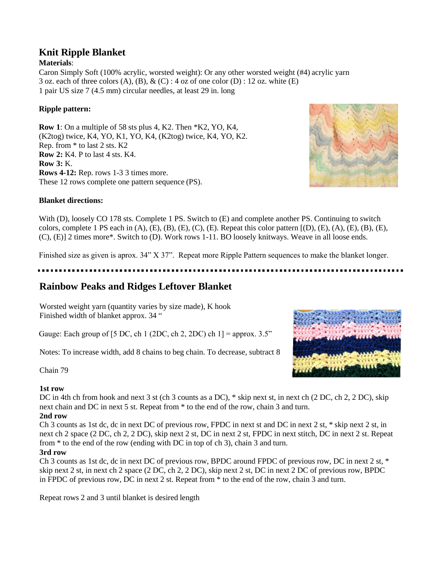# **Knit Ripple Blanket**

# **Materials**:

Caron Simply Soft (100% acrylic, worsted weight): Or any other worsted weight (#4) acrylic yarn 3 oz. each of three colors  $(A)$ ,  $(B)$ ,  $\&$   $(C)$ : 4 oz of one color  $(D)$ : 12 oz. white  $(E)$ 1 pair US size 7 (4.5 mm) circular needles, at least 29 in. long

# **Ripple pattern:**

**Row 1**: On a multiple of 58 sts plus 4, K2. Then \*K2, YO, K4, (K2tog) twice, K4, YO, K1, YO, K4, (K2tog) twice, K4, YO, K2. Rep. from \* to last 2 sts. K2 **Row 2:** K4. P to last 4 sts. K4. **Row 3:** K. **Rows 4-12:** Rep. rows 1-3 3 times more. These 12 rows complete one pattern sequence (PS).

# **Blanket directions:**

With (D), loosely CO 178 sts. Complete 1 PS. Switch to (E) and complete another PS. Continuing to switch colors, complete 1 PS each in  $(A)$ ,  $(E)$ ,  $(B)$ ,  $(E)$ ,  $(C)$ ,  $(E)$ . Repeat this color pattern  $[(D), (E), (A), (E), (B), (E),$ (C), (E)] 2 times more\*. Switch to (D). Work rows 1-11. BO loosely knitways. Weave in all loose ends.

Finished size as given is aprox. 34" X 37". Repeat more Ripple Pattern sequences to make the blanket longer.

# **Rainbow Peaks and Ridges Leftover Blanket**

Worsted weight yarn (quantity varies by size made), K hook Finished width of blanket approx. 34 "

Gauge: Each group of [5 DC, ch 1 (2DC, ch 2, 2DC) ch  $1$ ] = approx. 3.5"

Notes: To increase width, add 8 chains to beg chain. To decrease, subtract 8

Chain 79

## **1st row**

DC in 4th ch from hook and next 3 st (ch 3 counts as a DC), \* skip next st, in next ch (2 DC, ch 2, 2 DC), skip next chain and DC in next 5 st. Repeat from \* to the end of the row, chain 3 and turn. **2nd row**

Ch 3 counts as 1st dc, dc in next DC of previous row, FPDC in next st and DC in next 2 st, \* skip next 2 st, in next ch 2 space (2 DC, ch 2, 2 DC), skip next 2 st, DC in next 2 st, FPDC in next stitch, DC in next 2 st. Repeat from \* to the end of the row (ending with DC in top of ch 3), chain 3 and turn.

## **3rd row**

Ch 3 counts as 1st dc, dc in next DC of previous row, BPDC around FPDC of previous row, DC in next 2 st, \* skip next 2 st, in next ch 2 space (2 DC, ch 2, 2 DC), skip next 2 st, DC in next 2 DC of previous row, BPDC in FPDC of previous row, DC in next 2 st. Repeat from \* to the end of the row, chain 3 and turn.

Repeat rows 2 and 3 until blanket is desired length



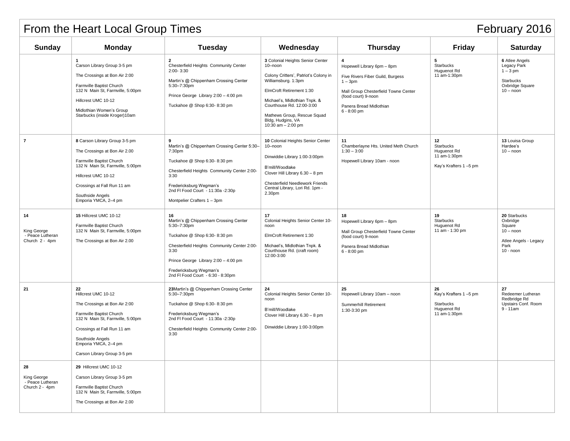| February 2016<br>From the Heart Local Group Times       |                                                                                                                                                                                                                                      |                                                                                                                                                                                                                                                           |                                                                                                                                                                                                                                                                                   |                                                                                                                                                                                             |                                                                                |                                                                                                          |  |  |
|---------------------------------------------------------|--------------------------------------------------------------------------------------------------------------------------------------------------------------------------------------------------------------------------------------|-----------------------------------------------------------------------------------------------------------------------------------------------------------------------------------------------------------------------------------------------------------|-----------------------------------------------------------------------------------------------------------------------------------------------------------------------------------------------------------------------------------------------------------------------------------|---------------------------------------------------------------------------------------------------------------------------------------------------------------------------------------------|--------------------------------------------------------------------------------|----------------------------------------------------------------------------------------------------------|--|--|
| <b>Sunday</b>                                           | <b>Monday</b>                                                                                                                                                                                                                        | <b>Tuesday</b>                                                                                                                                                                                                                                            | Wednesday                                                                                                                                                                                                                                                                         | <b>Thursday</b>                                                                                                                                                                             | Friday                                                                         | <b>Saturday</b>                                                                                          |  |  |
|                                                         | Carson Library Group 3-5 pm<br>The Crossings at Bon Air 2:00<br>Farmville Baptist Church<br>132 N Main St, Farmville, 5:00pm<br>Hillcrest UMC 10-12<br>Midlothian Women's Group<br>Starbucks (inside Kroger)10am                     | $\overline{2}$<br>Chesterfield Heights Community Center<br>$2:00 - 3:30$<br>Martin's @ Chippenham Crossing Center<br>5:30-7:30pm<br>Prince George Library 2:00 - 4:00 pm<br>Tuckahoe @ Shop 6:30-8:30 pm                                                  | 3 Colonial Heights Senior Center<br>10-noon<br>Colony Critters', Patriot's Colony in<br>Williamsburg. 1:3pm<br>ElmCroft Retirement 1:30<br>Michael's, Midlothian Tnpk. &<br>Courthouse Rd. 12:00-3:00<br>Mathews Group, Rescue Squad<br>Bldg, Hudgins, VA<br>10:30 am $- 2:00$ pm | 4<br>Hopewell Library 6pm - 8pm<br>Five Rivers Fiber Guild, Burgess<br>$1 - 3pm$<br>Mall Group Chesterfield Towne Center<br>(food court) 9-noon<br>Panera Bread Midlothian<br>$6 - 8:00$ pm | 5<br>Starbucks<br>Huguenot Rd<br>11 am-1:30pm                                  | <b>6</b> Atlee Angels<br>Legacy Park<br>$1 - 3$ pm<br><b>Starbucks</b><br>Oxbridge Square<br>$10 -$ noon |  |  |
| $\overline{7}$                                          | 8 Carson Library Group 3-5 pm<br>The Crossings at Bon Air 2.00<br>Farmville Baptist Church<br>132 N Main St, Farmville, 5:00pm<br>Hillcrest UMC 10-12<br>Crossings at Fall Run 11 am<br>Southside Angels<br>Emporia YMCA, 2-4 pm     | 9<br>Martin's @ Chippenham Crossing Center 5:30-<br>7:30pm<br>Tuckahoe @ Shop 6:30-8:30 pm<br>Chesterfield Heights Community Center 2:00-<br>3:30<br>Fredericksburg Wegman's<br>2nd FI Food Court - 11:30a - 2:30p<br>Montpelier Crafters 1 - 3pm         | 10 Colonial Heights Senior Center<br>10-noon<br>Dinwiddie Library 1:00-3:00pm<br>B'mill/Woodlake<br>Clover Hill Library 6.30 - 8 pm<br>Chesterfield Needlework Friends<br>Central Library, Lori Rd. 1pm -<br>2.30pm                                                               | 11<br>Chamberlayne Hts. United Meth Church<br>$1:30 - 3:00$<br>Hopewell Library 10am - noon                                                                                                 | 12<br><b>Starbucks</b><br>Huguenot Rd<br>11 am-1:30pm<br>Kay's Krafters 1-5 pm | 13 Louisa Group<br>Hardee's<br>$10 -$ noon                                                               |  |  |
| 14<br>King George<br>- Peace Lutheran<br>Church 2 - 4pm | 15 Hillcrest UMC 10-12<br>Farmville Baptist Church<br>132 N Main St, Farmville, 5:00pm<br>The Crossings at Bon Air 2.00                                                                                                              | 16<br>Martin's @ Chippenham Crossing Center<br>5:30-7:30pm<br>Tuckahoe @ Shop 6:30-8:30 pm<br>Chesterfield Heights Community Center 2:00-<br>3:30<br>Prince George Library 2:00 - 4:00 pm<br>Fredericksburg Wegman's<br>2nd FI Food Court - 6:30 - 8:30pm | 17<br>Colonial Heights Senior Center 10-<br>noon<br>ElmCroft Retirement 1:30<br>Michael's, Midlothian Tnpk. &<br>Courthouse Rd. (craft room)<br>12:00-3:00                                                                                                                        | 18<br>Hopewell Library 6pm - 8pm<br>Mall Group Chesterfield Towne Center<br>(food court) 9-noon<br>Panera Bread Midlothian<br>$6 - 8:00$ pm                                                 | 19<br>Starbucks<br>Huguenot Rd<br>11 am - 1:30 pm                              | 20 Starbucks<br>Oxbridge<br>Square<br>$10 -$ noon<br>Atlee Angels - Legacy<br>Park<br>$10 -$ noon        |  |  |
| 21                                                      | 22<br>Hillcrest UMC 10-12<br>The Crossings at Bon Air 2:00<br>Farmville Baptist Church<br>132 N Main St, Farmville, 5:00pm<br>Crossings at Fall Run 11 am<br>Southside Angels<br>Emporia YMCA, 2-4 pm<br>Carson Library Group 3-5 pm | 23Martin's @ Chippenham Crossing Center<br>5:30-7:30pm<br>Tuckahoe @ Shop 6:30-8:30 pm<br>Fredericksburg Wegman's<br>2nd FI Food Court - 11:30a - 2:30p<br>Chesterfield Heights Community Center 2:00-<br>3:30                                            | 24<br>Colonial Heights Senior Center 10-<br>noon<br>B'mill/Woodlake<br>Clover Hill Library 6.30 - 8 pm<br>Dinwiddie Library 1:00-3:00pm                                                                                                                                           | Hopewell Library 10am - noon<br>Summerhill Retirement<br>1:30-3:30 pm                                                                                                                       | 26<br>Kay's Krafters 1-5 pm<br>Starbucks<br>Huguenot Rd<br>11 am-1:30pm        | 27<br>Redeemer Lutheran<br>Redbridge Rd<br>Upstairs Conf. Room<br>$9 - 11$ am                            |  |  |
| 28<br>King George<br>- Peace Lutheran<br>Church 2 - 4pm | 29 Hillcrest UMC 10-12<br>Carson Library Group 3-5 pm<br>Farmville Baptist Church<br>132 N Main St, Farmville, 5:00pm<br>The Crossings at Bon Air 2.00                                                                               |                                                                                                                                                                                                                                                           |                                                                                                                                                                                                                                                                                   |                                                                                                                                                                                             |                                                                                |                                                                                                          |  |  |